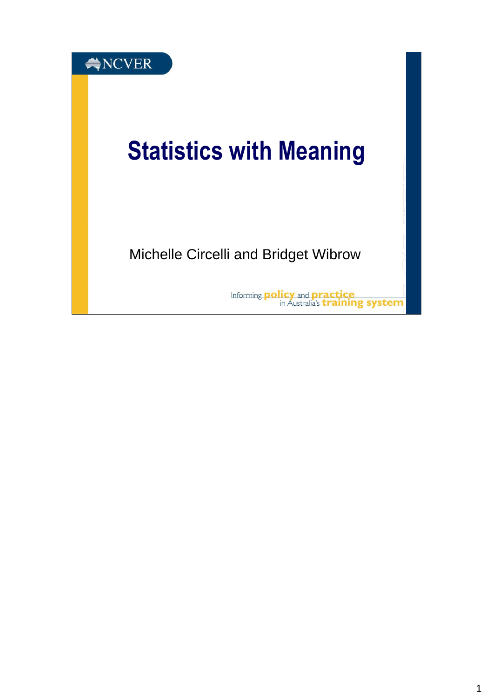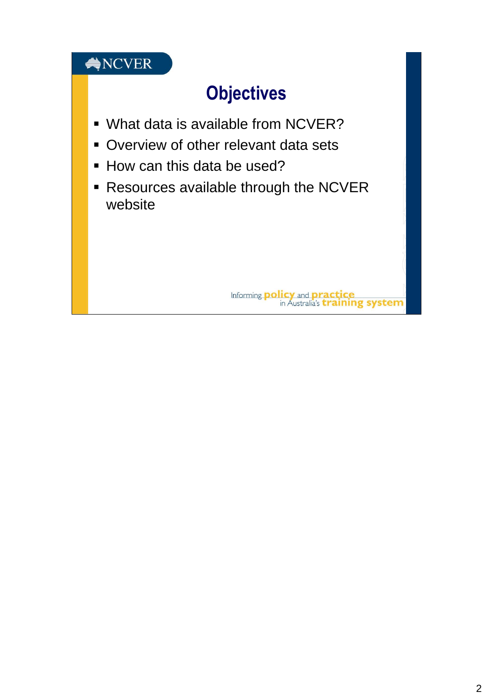### NCVER

# **Objectives**

- What data is available from NCVER?
- Overview of other relevant data sets
- How can this data be used?
- **Resources available through the NCVER** website

Informing **policy** and **practice**<br>in Australia's **training system**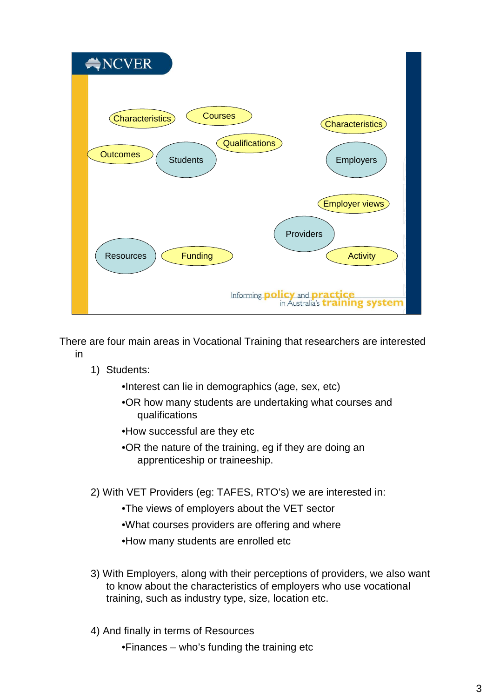

There are four main areas in Vocational Training that researchers are interested in

1) Students:

•Interest can lie in demographics (age, sex, etc)

- •OR how many students are undertaking what courses and qualifications
- •How successful are they etc
- •OR the nature of the training, eg if they are doing an apprenticeship or traineeship.
- 2) With VET Providers (eg: TAFES, RTO's) we are interested in:
	- •The views of employers about the VET sector
	- •What courses providers are offering and where
	- •How many students are enrolled etc
- 3) With Employers, along with their perceptions of providers, we also want to know about the characteristics of employers who use vocational training, such as industry type, size, location etc.
- 4) And finally in terms of Resources
	- •Finances who's funding the training etc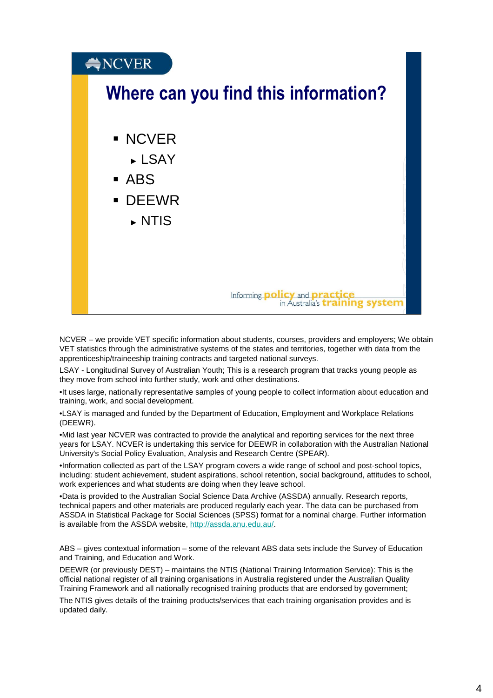

NCVER – we provide VET specific information about students, courses, providers and employers; We obtain VET statistics through the administrative systems of the states and territories, together with data from the apprenticeship/traineeship training contracts and targeted national surveys.

LSAY - Longitudinal Survey of Australian Youth; This is a research program that tracks young people as they move from school into further study, work and other destinations.

•It uses large, nationally representative samples of young people to collect information about education and training, work, and social development.

•LSAY is managed and funded by the Department of Education, Employment and Workplace Relations (DEEWR).

•Mid last year NCVER was contracted to provide the analytical and reporting services for the next three years for LSAY. NCVER is undertaking this service for DEEWR in collaboration with the Australian National University's Social Policy Evaluation, Analysis and Research Centre (SPEAR).

•Information collected as part of the LSAY program covers a wide range of school and post-school topics, including: student achievement, student aspirations, school retention, social background, attitudes to school, work experiences and what students are doing when they leave school.

•Data is provided to the Australian Social Science Data Archive (ASSDA) annually. Research reports, technical papers and other materials are produced regularly each year. The data can be purchased from ASSDA in Statistical Package for Social Sciences (SPSS) format for a nominal charge. Further information is available from the ASSDA website, http://assda.anu.edu.au/.

ABS – gives contextual information – some of the relevant ABS data sets include the Survey of Education and Training, and Education and Work.

DEEWR (or previously DEST) – maintains the NTIS (National Training Information Service): This is the official national register of all training organisations in Australia registered under the Australian Quality Training Framework and all nationally recognised training products that are endorsed by government;

The NTIS gives details of the training products/services that each training organisation provides and is updated daily.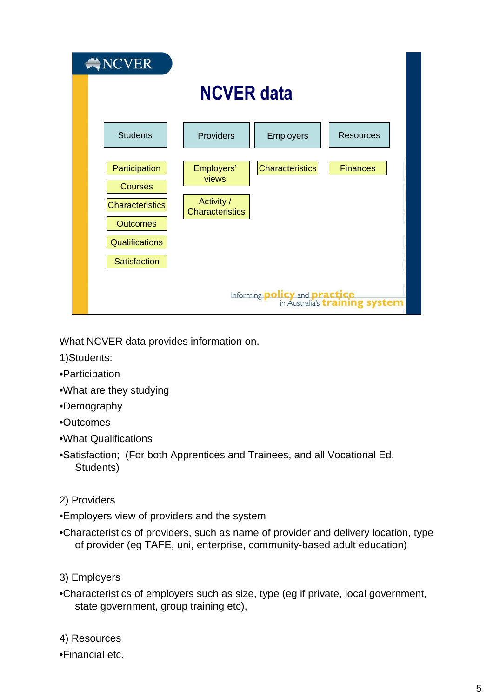| $\bigotimes$ NCVER |                                                                                      |                                   |                  |                  |
|--------------------|--------------------------------------------------------------------------------------|-----------------------------------|------------------|------------------|
|                    | <b>NCVER data</b>                                                                    |                                   |                  |                  |
|                    | <b>Students</b>                                                                      | Providers                         | <b>Employers</b> | <b>Resources</b> |
|                    | Participation<br><b>Courses</b>                                                      | Employers'<br>views<br>Activity / | Characteristics  | <b>Finances</b>  |
|                    | <b>Characteristics</b><br><b>Outcomes</b>                                            | <b>Characteristics</b>            |                  |                  |
|                    | <b>Qualifications</b><br><b>Satisfaction</b>                                         |                                   |                  |                  |
|                    | Informing <b>policy</b> and <b>practice</b><br>in Australia's <b>training system</b> |                                   |                  |                  |

What NCVER data provides information on.

- 1)Students:
- •Participation
- •What are they studying
- •Demography
- •Outcomes
- •What Qualifications
- •Satisfaction; (For both Apprentices and Trainees, and all Vocational Ed. Students)
- 2) Providers
- •Employers view of providers and the system
- •Characteristics of providers, such as name of provider and delivery location, type of provider (eg TAFE, uni, enterprise, community-based adult education)
- 3) Employers
- •Characteristics of employers such as size, type (eg if private, local government, state government, group training etc),
- 4) Resources
- •Financial etc.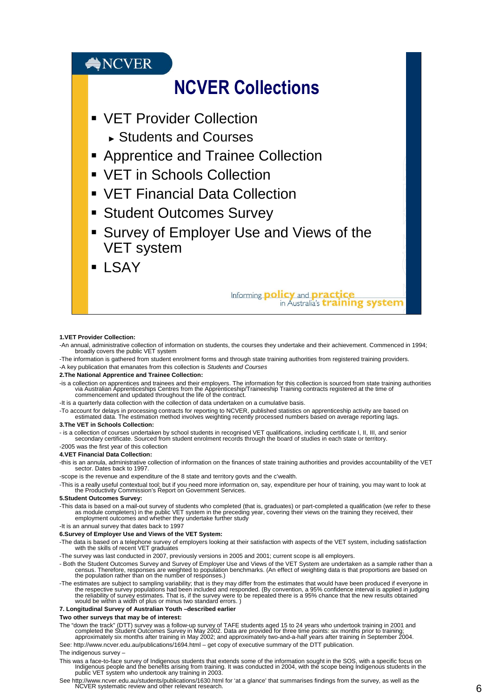### $\bigcirc$ NCVER

## NCVER Collections

- **VET Provider Collection** 
	- ► Students and Courses
- **Apprentice and Trainee Collection**
- VET in Schools Collection
- VET Financial Data Collection
- **Student Outcomes Survey**
- **Survey of Employer Use and Views of the** VET system
- **LSAY**

## Informing **policy** and **practice**<br>in Australia's **training system**

#### **1.VET Provider Collection:**

- -An annual, administrative collection of information on students, the courses they undertake and their achievement. Commenced in 1994; broadly covers the public VET system
- -The information is gathered from student enrolment forms and through state training authorities from registered training providers. -A key publication that emanates from this collection is Students and Courses

#### **2.The National Apprentice and Trainee Collection:**

- -is a collection on apprentices and trainees and their employers. The information for this collection is sourced from state training authorities<br>via Australian Apprenticeships Centres from the Apprenticeship/Traineeship Tr commencement and updated throughout the life of the contract.
- -It is a quarterly data collection with the collection of data undertaken on a cumulative basis.

-To account for delays in processing contracts for reporting to NCVER, published statistics on apprenticeship activity are based on<br>.estimated data. The estimation method involves weighting recently processed numbers based

#### **3.The VET in Schools Collection:**

- is a collection of courses undertaken by school students in recognised VET qualifications, including certificate I, II, III, and senior<br>secondary certificate. Sourced from student enrolment records through the board of s -2005 was the first year of this collection

#### **4.VET Financial Data Collection:**

-this is an annula, administrative collection of information on the finances of state training authorities and provides accountability of the VET sector. Dates back to 1997.

-scope is the revenue and expenditure of the 8 state and territory govts and the c'wealth.

-This is a really useful contextual tool; but if you need more information on, say, expenditure per hour of training, you may want to look at the Productivity Commission's Report on Government Services.

#### **5.Student Outcomes Survey:**

-This data is based on a mail-out survey of students who completed (that is, graduates) or part-completed a qualification (we refer to these<br>as module completers) in the public VET system in the preceding year, covering th

-It is an annual survey that dates back to 1997

#### **6.Survey of Employer Use and Views of the VET System:**

-The data is based on a telephone survey of employers looking at their satisfaction with aspects of the VET system, including satisfaction with the skills of recent VET graduates

-The survey was last conducted in 2007, previously versions in 2005 and 2001; current scope is all employers.

- Both the Student Outcomes Survey and Survey of Employer Use and Views of the VET System are undertaken as a sample rather than a<br>census. Therefore, responses are weighted to population benchmarks. (An effect of weighting the population rather than on the number of responses.)
- -The estimates are subject to sampling variability; that is they may differ from the estimates that would have been produced if everyone in<br>the respective survey populations had been included and responded. (By convention,

#### **7. Longitudinal Survey of Australian Youth –described earlier**

#### **Two other surveys that may be of interest:**

- The "down the track" (DTT) survey was a follow-up survey of TAFE students aged 15 to 24 years who undertook training in 2001 and<br>completed the Student Outcomes Survey in May 2002. Data are provided for three time points: s
- See: http://www.ncver.edu.au/publications/1694.html get copy of executive summary of the DTT publication.

#### The indigenous survey –

- This was a face-to-face survey of Indigenous students that extends some of the information sought in the SOS, with a specific focus on<br>Indigenous people and the benefits arising from training. It was conducted in 2004, wit
- See http://www.ncver.edu.au/students/publications/1630.html for 'at a glance' that summarises findings from the survey, as well as the NCVER systematic review and other relevant research.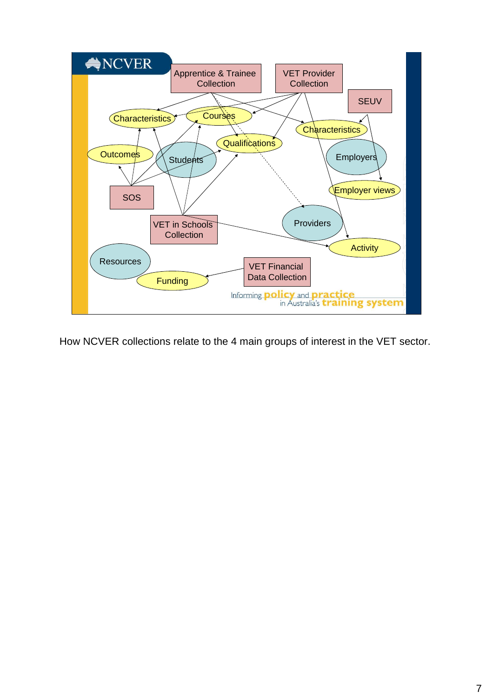

How NCVER collections relate to the 4 main groups of interest in the VET sector.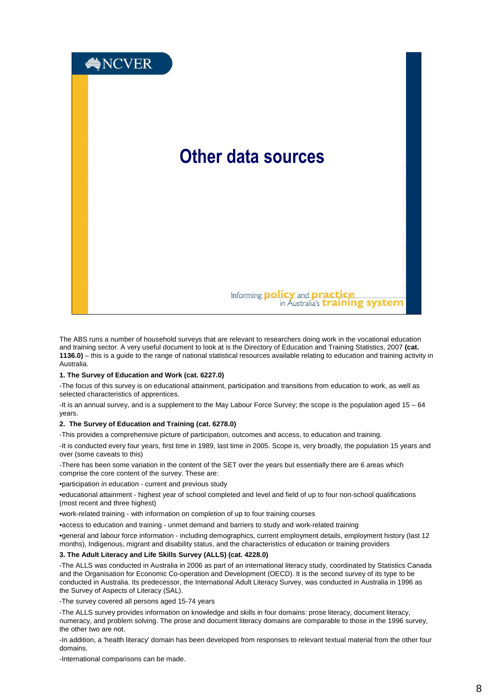

The ABS runs a number of household surveys that are relevant to researchers doing work in the vocational education and training sector. A very useful document to look at is the Directory of Education and Training Statistics, 2007 **(cat. 1136.0)** – this is a guide to the range of national statistical resources available relating to education and training activity in Australia.

#### **1. The Survey of Education and Work (cat. 6227.0)**

-The focus of this survey is on educational attainment, participation and transitions from education to work, as well as selected characteristics of apprentices.

-It is an annual survey, and is a supplement to the May Labour Force Survey; the scope is the population aged 15 – 64 years.

#### **2. The Survey of Education and Training (cat. 6278.0)**

-This provides a comprehensive picture of participation, outcomes and access, to education and training.

-It is conducted every four years, first time in 1989, last time in 2005. Scope is, very broadly, the population 15 years and over (some caveats to this)

-There has been some variation in the content of the SET over the years but essentially there are 6 areas which comprise the core content of the survey. These are:

•participation in education - current and previous study

•educational attainment - highest year of school completed and level and field of up to four non-school qualifications (most recent and three highest)

•work-related training - with information on completion of up to four training courses

•access to education and training - unmet demand and barriers to study and work-related training

•general and labour force information - including demographics, current employment details, employment history (last 12 months), Indigenous, migrant and disability status, and the characteristics of education or training providers

#### **3. The Adult Literacy and Life Skills Survey (ALLS) (cat. 4228.0)**

-The ALLS was conducted in Australia in 2006 as part of an international literacy study, coordinated by Statistics Canada and the Organisation for Economic Co-operation and Development (OECD). It is the second survey of its type to be conducted in Australia. Its predecessor, the International Adult Literacy Survey, was conducted in Australia in 1996 as the Survey of Aspects of Literacy (SAL).

-The survey covered all persons aged 15-74 years

-The ALLS survey provides information on knowledge and skills in four domains: prose literacy, document literacy, numeracy, and problem solving. The prose and document literacy domains are comparable to those in the 1996 survey, the other two are not.

-In addition, a 'health literacy' domain has been developed from responses to relevant textual material from the other four domains.

-International comparisons can be made.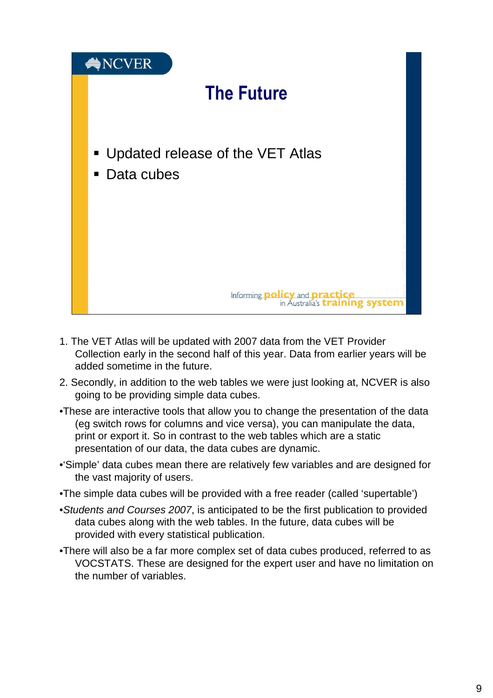

- 1. The VET Atlas will be updated with 2007 data from the VET Provider Collection early in the second half of this year. Data from earlier years will be added sometime in the future.
- 2. Secondly, in addition to the web tables we were just looking at, NCVER is also going to be providing simple data cubes.
- •These are interactive tools that allow you to change the presentation of the data (eg switch rows for columns and vice versa), you can manipulate the data, print or export it. So in contrast to the web tables which are a static presentation of our data, the data cubes are dynamic.
- •'Simple' data cubes mean there are relatively few variables and are designed for the vast majority of users.
- •The simple data cubes will be provided with a free reader (called 'supertable')
- •Students and Courses 2007, is anticipated to be the first publication to provided data cubes along with the web tables. In the future, data cubes will be provided with every statistical publication.
- •There will also be a far more complex set of data cubes produced, referred to as VOCSTATS. These are designed for the expert user and have no limitation on the number of variables.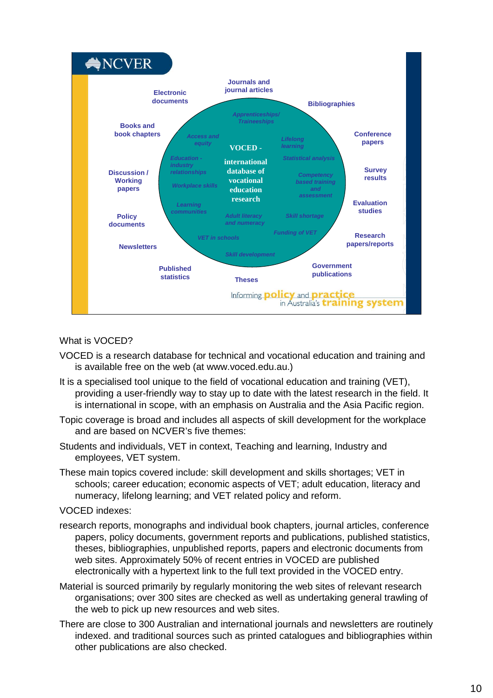

### What is VOCED?

- VOCED is a research database for technical and vocational education and training and is available free on the web (at www.voced.edu.au.)
- It is a specialised tool unique to the field of vocational education and training (VET), providing a user-friendly way to stay up to date with the latest research in the field. It is international in scope, with an emphasis on Australia and the Asia Pacific region.
- Topic coverage is broad and includes all aspects of skill development for the workplace and are based on NCVER's five themes:
- Students and individuals, VET in context, Teaching and learning, Industry and employees, VET system.
- These main topics covered include: skill development and skills shortages; VET in schools; career education; economic aspects of VET; adult education, literacy and numeracy, lifelong learning; and VET related policy and reform.

### VOCED indexes:

- research reports, monographs and individual book chapters, journal articles, conference papers, policy documents, government reports and publications, published statistics, theses, bibliographies, unpublished reports, papers and electronic documents from web sites. Approximately 50% of recent entries in VOCED are published electronically with a hypertext link to the full text provided in the VOCED entry.
- Material is sourced primarily by regularly monitoring the web sites of relevant research organisations; over 300 sites are checked as well as undertaking general trawling of the web to pick up new resources and web sites.
- There are close to 300 Australian and international journals and newsletters are routinely indexed. and traditional sources such as printed catalogues and bibliographies within other publications are also checked.